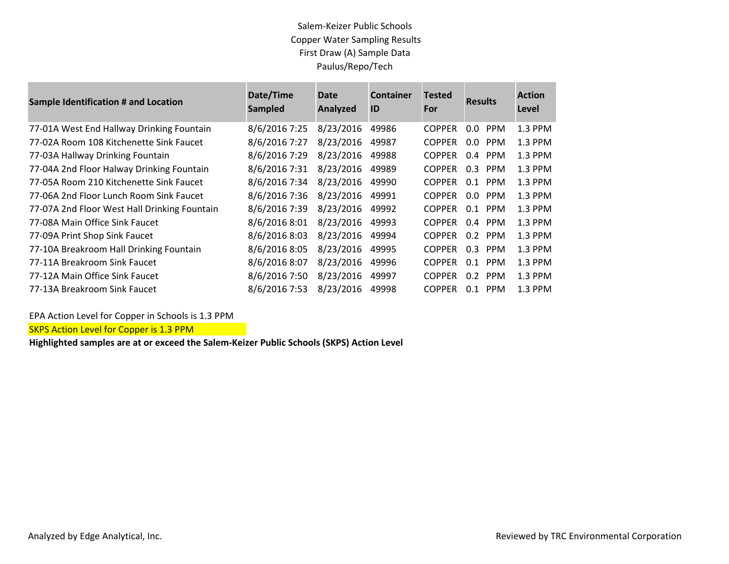## Salem-Keizer Public Schools Copper Water Sampling Results First Draw (A) Sample Data Paulus/Repo/Tech

| <b>Sample Identification # and Location</b>  | Date/Time<br>Sampled | <b>Date</b><br><b>Analyzed</b> | <b>Container</b><br>ID | <b>Tested</b><br>For | <b>Results</b>              | <b>Action</b><br>Level |
|----------------------------------------------|----------------------|--------------------------------|------------------------|----------------------|-----------------------------|------------------------|
| 77-01A West End Hallway Drinking Fountain    | 8/6/2016 7:25        | 8/23/2016                      | 49986                  | <b>COPPER</b>        | $0.0\,$<br><b>PPM</b>       | 1.3 PPM                |
| 77-02A Room 108 Kitchenette Sink Faucet      | 8/6/2016 7:27        | 8/23/2016                      | 49987                  | <b>COPPER</b>        | $0.0$ PPM                   | 1.3 PPM                |
| 77-03A Hallway Drinking Fountain             | 8/6/2016 7:29        | 8/23/2016                      | 49988                  | <b>COPPER</b>        | <b>PPM</b><br>$0.4^{\circ}$ | 1.3 PPM                |
| 77-04A 2nd Floor Halway Drinking Fountain    | 8/6/2016 7:31        | 8/23/2016                      | 49989                  | <b>COPPER</b>        | 0.3<br>PPM                  | 1.3 PPM                |
| 77-05A Room 210 Kitchenette Sink Faucet      | 8/6/2016 7:34        | 8/23/2016                      | 49990                  | <b>COPPER</b>        | <b>PPM</b><br>0.1           | 1.3 PPM                |
| 77-06A 2nd Floor Lunch Room Sink Faucet      | 8/6/2016 7:36        | 8/23/2016                      | 49991                  | <b>COPPER</b>        | <b>PPM</b><br>0.0           | 1.3 PPM                |
| 77-07A 2nd Floor West Hall Drinking Fountain | 8/6/2016 7:39        | 8/23/2016                      | 49992                  | <b>COPPER</b>        | $0.1$ PPM                   | 1.3 PPM                |
| 77-08A Main Office Sink Faucet               | 8/6/2016 8:01        | 8/23/2016                      | 49993                  | <b>COPPER</b>        | $0.4$ PPM                   | 1.3 PPM                |
| 77-09A Print Shop Sink Faucet                | 8/6/2016 8:03        | 8/23/2016                      | 49994                  | <b>COPPER</b>        | $0.2$ PPM                   | 1.3 PPM                |
| 77-10A Breakroom Hall Drinking Fountain      | 8/6/2016 8:05        | 8/23/2016                      | 49995                  | <b>COPPER</b>        | $0.3$ PPM                   | 1.3 PPM                |
| 77-11A Breakroom Sink Faucet                 | 8/6/2016 8:07        | 8/23/2016                      | 49996                  | <b>COPPER</b>        | <b>PPM</b><br>0.1           | 1.3 PPM                |
| 77-12A Main Office Sink Faucet               | 8/6/2016 7:50        | 8/23/2016                      | 49997                  | <b>COPPER</b>        | $0.2$ PPM                   | 1.3 PPM                |
| 77-13A Breakroom Sink Faucet                 | 8/6/2016 7:53        | 8/23/2016                      | 49998                  | <b>COPPER</b>        | <b>PPM</b><br>0.1           | 1.3 PPM                |

EPA Action Level for Copper in Schools is 1.3 PPM

**SKPS Action Level for Copper is 1.3 PPM** 

**Highlighted samples are at or exceed the Salem-Keizer Public Schools (SKPS) Action Level**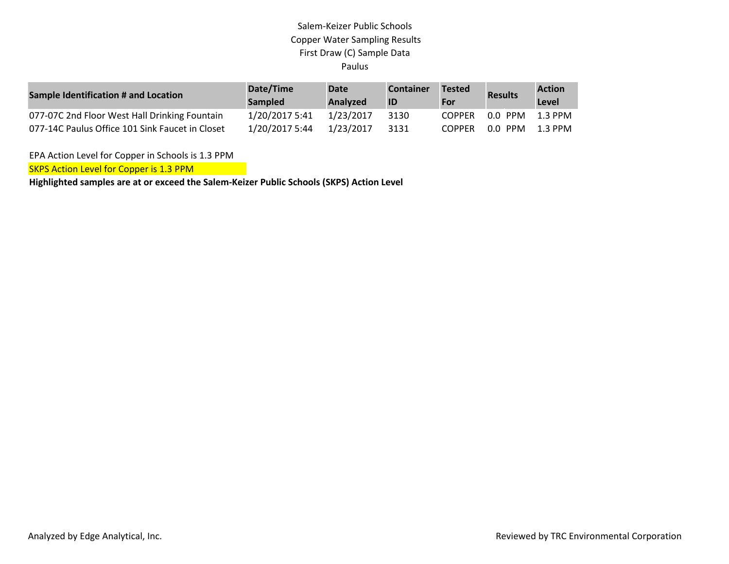## Salem-Keizer Public Schools Copper Water Sampling Results First Draw (C) Sample Data Paulus

| Sample Identification # and Location            | Date/Time<br><b>Sampled</b> | Date<br><b>Analyzed</b> | <b>Container</b><br>ID | <b>Tested</b><br>For | <b>Results</b> | <b>Action</b><br>Level |
|-------------------------------------------------|-----------------------------|-------------------------|------------------------|----------------------|----------------|------------------------|
| 077-07C 2nd Floor West Hall Drinking Fountain   | 1/20/2017 5:41              | 1/23/2017               | 3130                   | <b>COPPER</b>        | 0.0 PPM        | 1.3 PPM                |
| 077-14C Paulus Office 101 Sink Faucet in Closet | 1/20/2017 5:44              | 1/23/2017               | 3131                   | <b>COPPER</b>        | 0.0 PPM        | 1.3 PPM                |

EPA Action Level for Copper in Schools is 1.3 PPM

**SKPS Action Level for Copper is 1.3 PPM** 

**Highlighted samples are at or exceed the Salem-Keizer Public Schools (SKPS) Action Level**